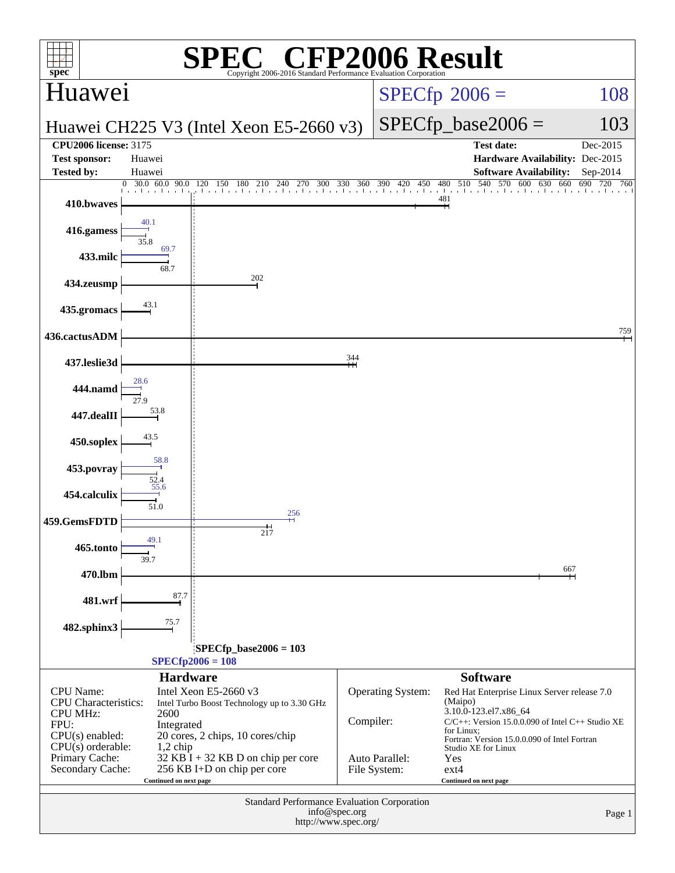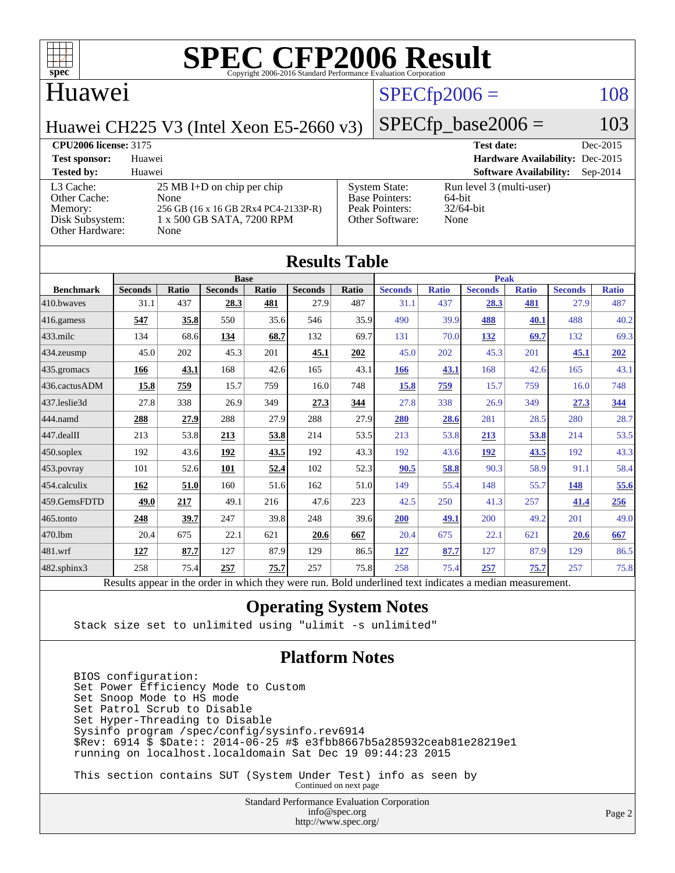

#### Huawei

#### $SPECfp2006 = 108$  $SPECfp2006 = 108$

Huawei CH225 V3 (Intel Xeon E5-2660 v3)

#### $SPECfp\_base2006 = 103$

#### **[CPU2006 license:](http://www.spec.org/auto/cpu2006/Docs/result-fields.html#CPU2006license)** 3175 **[Test date:](http://www.spec.org/auto/cpu2006/Docs/result-fields.html#Testdate)** Dec-2015 **[Test sponsor:](http://www.spec.org/auto/cpu2006/Docs/result-fields.html#Testsponsor)** Huawei **[Hardware Availability:](http://www.spec.org/auto/cpu2006/Docs/result-fields.html#HardwareAvailability)** Dec-2015 **[Tested by:](http://www.spec.org/auto/cpu2006/Docs/result-fields.html#Testedby)** Huawei **[Software Availability:](http://www.spec.org/auto/cpu2006/Docs/result-fields.html#SoftwareAvailability)** Sep-2014 [L3 Cache:](http://www.spec.org/auto/cpu2006/Docs/result-fields.html#L3Cache) 25 MB I+D on chip per chip<br>Other Cache: None [Other Cache:](http://www.spec.org/auto/cpu2006/Docs/result-fields.html#OtherCache) [Memory:](http://www.spec.org/auto/cpu2006/Docs/result-fields.html#Memory) 256 GB (16 x 16 GB 2Rx4 PC4-2133P-R) [Disk Subsystem:](http://www.spec.org/auto/cpu2006/Docs/result-fields.html#DiskSubsystem) 1 x 500 GB SATA, 7200 RPM [Other Hardware:](http://www.spec.org/auto/cpu2006/Docs/result-fields.html#OtherHardware) None [System State:](http://www.spec.org/auto/cpu2006/Docs/result-fields.html#SystemState) Run level 3 (multi-user)<br>Base Pointers: 64-bit [Base Pointers:](http://www.spec.org/auto/cpu2006/Docs/result-fields.html#BasePointers) 64-bit<br>Peak Pointers: 32/64-bit [Peak Pointers:](http://www.spec.org/auto/cpu2006/Docs/result-fields.html#PeakPointers) [Other Software:](http://www.spec.org/auto/cpu2006/Docs/result-fields.html#OtherSoftware) None

| <b>Results Table</b> |                                                                                                          |       |                |       |                |       |                |              |                |              |                |              |
|----------------------|----------------------------------------------------------------------------------------------------------|-------|----------------|-------|----------------|-------|----------------|--------------|----------------|--------------|----------------|--------------|
| <b>Benchmark</b>     | <b>Base</b>                                                                                              |       |                |       |                |       | <b>Peak</b>    |              |                |              |                |              |
|                      | <b>Seconds</b>                                                                                           | Ratio | <b>Seconds</b> | Ratio | <b>Seconds</b> | Ratio | <b>Seconds</b> | <b>Ratio</b> | <b>Seconds</b> | <b>Ratio</b> | <b>Seconds</b> | <b>Ratio</b> |
| 410.bwayes           | 31.1                                                                                                     | 437   | 28.3           | 481   | 27.9           | 487   | 31.1           | 437          | 28.3           | 481          | 27.9           | 487          |
| 416.gamess           | 547                                                                                                      | 35.8  | 550            | 35.6  | 546            | 35.9  | 490            | 39.9         | 488            | 40.1         | 488            | 40.2         |
| 433.milc             | 134                                                                                                      | 68.6  | 134            | 68.7  | 132            | 69.7  | 131            | 70.0         | <u>132</u>     | 69.7         | 132            | 69.3         |
| 434.zeusmp           | 45.0                                                                                                     | 202   | 45.3           | 201   | 45.1           | 202   | 45.0           | 202          | 45.3           | 201          | 45.1           | 202          |
| 435.gromacs          | 166                                                                                                      | 43.1  | 168            | 42.6  | 165            | 43.1  | 166            | 43.1         | 168            | 42.6         | 165            | 43.1         |
| 436.cactusADM        | 15.8                                                                                                     | 759   | 15.7           | 759   | 16.0           | 748   | 15.8           | 759          | 15.7           | 759          | 16.0           | 748          |
| 437.leslie3d         | 27.8                                                                                                     | 338   | 26.9           | 349   | 27.3           | 344   | 27.8           | 338          | 26.9           | 349          | 27.3           | <u>344</u>   |
| 444.namd             | 288                                                                                                      | 27.9  | 288            | 27.9  | 288            | 27.9  | 280            | 28.6         | 281            | 28.5         | 280            | 28.7         |
| 447.dealII           | 213                                                                                                      | 53.8  | 213            | 53.8  | 214            | 53.5  | 213            | 53.8         | 213            | 53.8         | 214            | 53.5         |
| 450.soplex           | 192                                                                                                      | 43.6  | 192            | 43.5  | 192            | 43.3  | 192            | 43.6         | 192            | 43.5         | 192            | 43.3         |
| 453.povray           | 101                                                                                                      | 52.6  | 101            | 52.4  | 102            | 52.3  | 90.5           | 58.8         | 90.3           | 58.9         | 91.1           | 58.4         |
| 454.calculix         | 162                                                                                                      | 51.0  | 160            | 51.6  | 162            | 51.0  | 149            | 55.4         | 148            | 55.7         | 148            | 55.6         |
| 459.GemsFDTD         | 49.0                                                                                                     | 217   | 49.1           | 216   | 47.6           | 223   | 42.5           | 250          | 41.3           | 257          | 41.4           | 256          |
| 465.tonto            | 248                                                                                                      | 39.7  | 247            | 39.8  | 248            | 39.6  | 200            | 49.1         | 200            | 49.2         | 201            | 49.0         |
| 470.1bm              | 20.4                                                                                                     | 675   | 22.1           | 621   | 20.6           | 667   | 20.4           | 675          | 22.1           | 621          | 20.6           | 667          |
| 481.wrf              | 127                                                                                                      | 87.7  | 127            | 87.9  | 129            | 86.5  | 127            | 87.7         | 127            | 87.9         | 129            | 86.5         |
| 482.sphinx3          | 258                                                                                                      | 75.4  | 257            | 75.7  | 257            | 75.8  | 258            | 75.4         | 257            | 75.7         | 257            | 75.8         |
|                      | Results appear in the order in which they were run. Bold underlined text indicates a median measurement. |       |                |       |                |       |                |              |                |              |                |              |

#### **[Operating System Notes](http://www.spec.org/auto/cpu2006/Docs/result-fields.html#OperatingSystemNotes)**

Stack size set to unlimited using "ulimit -s unlimited"

#### **[Platform Notes](http://www.spec.org/auto/cpu2006/Docs/result-fields.html#PlatformNotes)**

 BIOS configuration: Set Power Efficiency Mode to Custom Set Snoop Mode to HS mode Set Patrol Scrub to Disable Set Hyper-Threading to Disable Sysinfo program /spec/config/sysinfo.rev6914 \$Rev: 6914 \$ \$Date:: 2014-06-25 #\$ e3fbb8667b5a285932ceab81e28219e1 running on localhost.localdomain Sat Dec 19 09:44:23 2015

 This section contains SUT (System Under Test) info as seen by Continued on next page

> Standard Performance Evaluation Corporation [info@spec.org](mailto:info@spec.org) <http://www.spec.org/>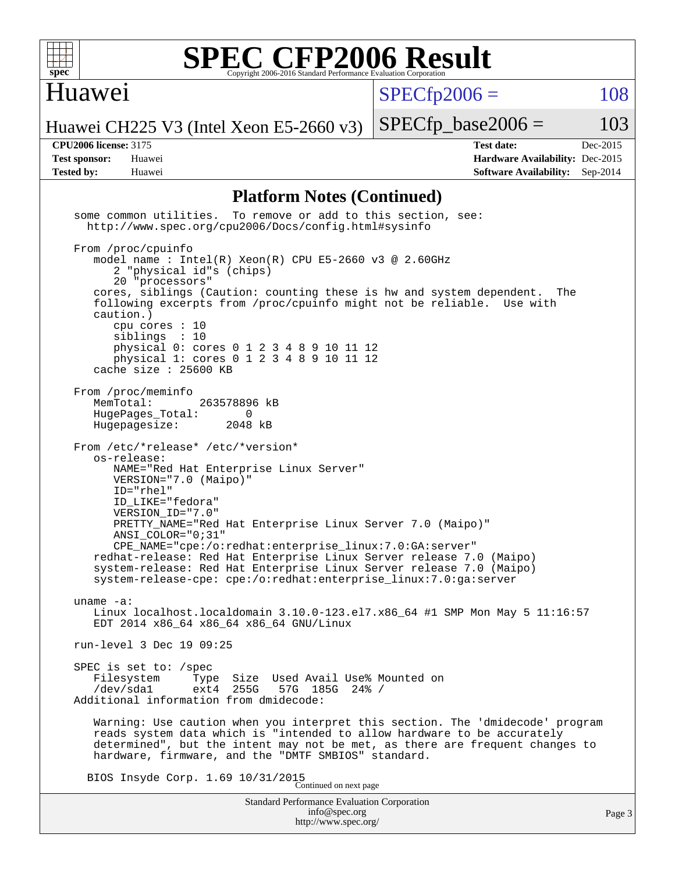

#### Huawei

 $SPECTp2006 = 108$ 

Huawei CH225 V3 (Intel Xeon E5-2660 v3)

 $SPECTp\_base2006 = 103$ 

**[CPU2006 license:](http://www.spec.org/auto/cpu2006/Docs/result-fields.html#CPU2006license)** 3175 **[Test date:](http://www.spec.org/auto/cpu2006/Docs/result-fields.html#Testdate)** Dec-2015 **[Test sponsor:](http://www.spec.org/auto/cpu2006/Docs/result-fields.html#Testsponsor)** Huawei **[Hardware Availability:](http://www.spec.org/auto/cpu2006/Docs/result-fields.html#HardwareAvailability)** Dec-2015 **[Tested by:](http://www.spec.org/auto/cpu2006/Docs/result-fields.html#Testedby)** Huawei **[Software Availability:](http://www.spec.org/auto/cpu2006/Docs/result-fields.html#SoftwareAvailability)** Sep-2014

#### **[Platform Notes \(Continued\)](http://www.spec.org/auto/cpu2006/Docs/result-fields.html#PlatformNotes)**

Standard Performance Evaluation Corporation [info@spec.org](mailto:info@spec.org) some common utilities. To remove or add to this section, see: <http://www.spec.org/cpu2006/Docs/config.html#sysinfo> From /proc/cpuinfo model name:  $Intel(R)$  Xeon $(R)$  CPU E5-2660 v3 @ 2.60GHz 2 "physical id"s (chips) 20 "processors" cores, siblings (Caution: counting these is hw and system dependent. The following excerpts from /proc/cpuinfo might not be reliable. Use with caution.) cpu cores : 10 siblings : 10 physical 0: cores 0 1 2 3 4 8 9 10 11 12 physical 1: cores 0 1 2 3 4 8 9 10 11 12 cache size : 25600 KB From /proc/meminfo MemTotal: 263578896 kB HugePages\_Total: 0<br>Hugepagesize: 2048 kB Hugepagesize: From /etc/\*release\* /etc/\*version\* os-release: NAME="Red Hat Enterprise Linux Server" VERSION="7.0 (Maipo)" ID="rhel" ID\_LIKE="fedora" VERSION\_ID="7.0" PRETTY NAME="Red Hat Enterprise Linux Server 7.0 (Maipo)" ANSI\_COLOR="0;31" CPE\_NAME="cpe:/o:redhat:enterprise\_linux:7.0:GA:server" redhat-release: Red Hat Enterprise Linux Server release 7.0 (Maipo) system-release: Red Hat Enterprise Linux Server release 7.0 (Maipo) system-release-cpe: cpe:/o:redhat:enterprise\_linux:7.0:ga:server uname -a: Linux localhost.localdomain 3.10.0-123.el7.x86\_64 #1 SMP Mon May 5 11:16:57 EDT 2014 x86\_64 x86\_64 x86\_64 GNU/Linux run-level 3 Dec 19 09:25 SPEC is set to: /spec Filesystem Type Size Used Avail Use% Mounted on<br>
/dev/sdal ext4 255G 57G 185G 24% / /dev/sda1 ext4 255G 57G 185G 24% / Additional information from dmidecode: Warning: Use caution when you interpret this section. The 'dmidecode' program reads system data which is "intended to allow hardware to be accurately determined", but the intent may not be met, as there are frequent changes to hardware, firmware, and the "DMTF SMBIOS" standard. BIOS Insyde Corp. 1.69 10/31/2015 Continued on next page

<http://www.spec.org/>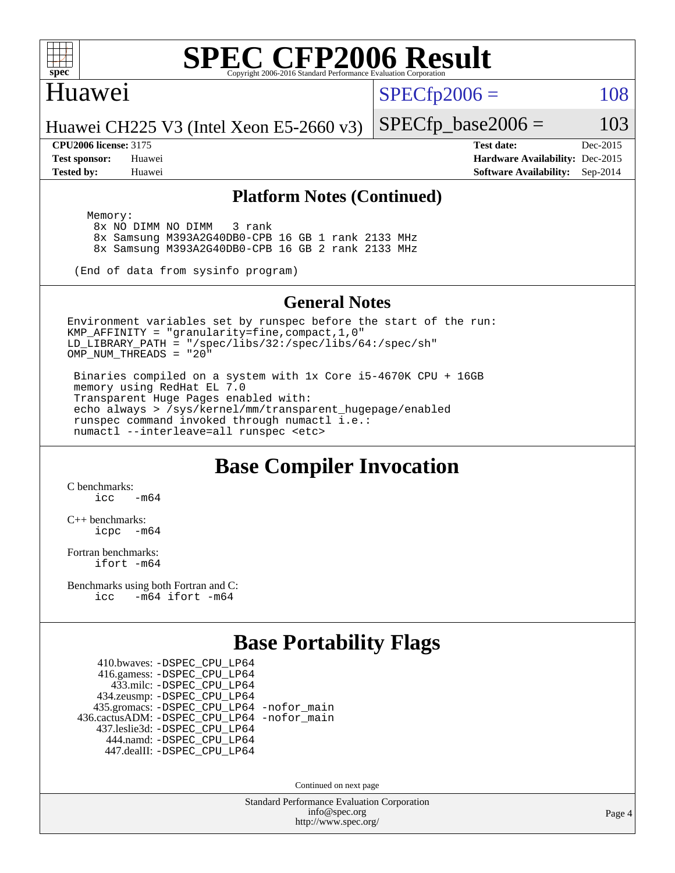

#### Huawei

 $SPECTp2006 = 108$ 

Huawei CH225 V3 (Intel Xeon E5-2660 v3)

**[CPU2006 license:](http://www.spec.org/auto/cpu2006/Docs/result-fields.html#CPU2006license)** 3175 **[Test date:](http://www.spec.org/auto/cpu2006/Docs/result-fields.html#Testdate)** Dec-2015 **[Test sponsor:](http://www.spec.org/auto/cpu2006/Docs/result-fields.html#Testsponsor)** Huawei **[Hardware Availability:](http://www.spec.org/auto/cpu2006/Docs/result-fields.html#HardwareAvailability)** Dec-2015 **[Tested by:](http://www.spec.org/auto/cpu2006/Docs/result-fields.html#Testedby)** Huawei **[Software Availability:](http://www.spec.org/auto/cpu2006/Docs/result-fields.html#SoftwareAvailability)** Sep-2014

 $SPECTp\_base2006 = 103$ 

#### **[Platform Notes \(Continued\)](http://www.spec.org/auto/cpu2006/Docs/result-fields.html#PlatformNotes)**

 Memory: 8x NO DIMM NO DIMM 3 rank 8x Samsung M393A2G40DB0-CPB 16 GB 1 rank 2133 MHz 8x Samsung M393A2G40DB0-CPB 16 GB 2 rank 2133 MHz

(End of data from sysinfo program)

#### **[General Notes](http://www.spec.org/auto/cpu2006/Docs/result-fields.html#GeneralNotes)**

Environment variables set by runspec before the start of the run: KMP\_AFFINITY = "granularity=fine,compact,1,0" LD\_LIBRARY\_PATH = "/spec/libs/32:/spec/libs/64:/spec/sh" OMP NUM THREADS =  $"20"$ 

 Binaries compiled on a system with 1x Core i5-4670K CPU + 16GB memory using RedHat EL 7.0 Transparent Huge Pages enabled with: echo always > /sys/kernel/mm/transparent\_hugepage/enabled runspec command invoked through numactl i.e.: numactl --interleave=all runspec <etc>

#### **[Base Compiler Invocation](http://www.spec.org/auto/cpu2006/Docs/result-fields.html#BaseCompilerInvocation)**

[C benchmarks](http://www.spec.org/auto/cpu2006/Docs/result-fields.html#Cbenchmarks):  $\frac{1}{2}$ cc  $-\text{m64}$ 

[C++ benchmarks:](http://www.spec.org/auto/cpu2006/Docs/result-fields.html#CXXbenchmarks) [icpc -m64](http://www.spec.org/cpu2006/results/res2016q1/cpu2006-20160107-38603.flags.html#user_CXXbase_intel_icpc_64bit_bedb90c1146cab66620883ef4f41a67e)

[Fortran benchmarks](http://www.spec.org/auto/cpu2006/Docs/result-fields.html#Fortranbenchmarks): [ifort -m64](http://www.spec.org/cpu2006/results/res2016q1/cpu2006-20160107-38603.flags.html#user_FCbase_intel_ifort_64bit_ee9d0fb25645d0210d97eb0527dcc06e)

[Benchmarks using both Fortran and C](http://www.spec.org/auto/cpu2006/Docs/result-fields.html#BenchmarksusingbothFortranandC): [icc -m64](http://www.spec.org/cpu2006/results/res2016q1/cpu2006-20160107-38603.flags.html#user_CC_FCbase_intel_icc_64bit_0b7121f5ab7cfabee23d88897260401c) [ifort -m64](http://www.spec.org/cpu2006/results/res2016q1/cpu2006-20160107-38603.flags.html#user_CC_FCbase_intel_ifort_64bit_ee9d0fb25645d0210d97eb0527dcc06e)

### **[Base Portability Flags](http://www.spec.org/auto/cpu2006/Docs/result-fields.html#BasePortabilityFlags)**

 410.bwaves: [-DSPEC\\_CPU\\_LP64](http://www.spec.org/cpu2006/results/res2016q1/cpu2006-20160107-38603.flags.html#suite_basePORTABILITY410_bwaves_DSPEC_CPU_LP64) 416.gamess: [-DSPEC\\_CPU\\_LP64](http://www.spec.org/cpu2006/results/res2016q1/cpu2006-20160107-38603.flags.html#suite_basePORTABILITY416_gamess_DSPEC_CPU_LP64) 433.milc: [-DSPEC\\_CPU\\_LP64](http://www.spec.org/cpu2006/results/res2016q1/cpu2006-20160107-38603.flags.html#suite_basePORTABILITY433_milc_DSPEC_CPU_LP64) 434.zeusmp: [-DSPEC\\_CPU\\_LP64](http://www.spec.org/cpu2006/results/res2016q1/cpu2006-20160107-38603.flags.html#suite_basePORTABILITY434_zeusmp_DSPEC_CPU_LP64) 435.gromacs: [-DSPEC\\_CPU\\_LP64](http://www.spec.org/cpu2006/results/res2016q1/cpu2006-20160107-38603.flags.html#suite_basePORTABILITY435_gromacs_DSPEC_CPU_LP64) [-nofor\\_main](http://www.spec.org/cpu2006/results/res2016q1/cpu2006-20160107-38603.flags.html#user_baseLDPORTABILITY435_gromacs_f-nofor_main) 436.cactusADM: [-DSPEC\\_CPU\\_LP64](http://www.spec.org/cpu2006/results/res2016q1/cpu2006-20160107-38603.flags.html#suite_basePORTABILITY436_cactusADM_DSPEC_CPU_LP64) [-nofor\\_main](http://www.spec.org/cpu2006/results/res2016q1/cpu2006-20160107-38603.flags.html#user_baseLDPORTABILITY436_cactusADM_f-nofor_main) 437.leslie3d: [-DSPEC\\_CPU\\_LP64](http://www.spec.org/cpu2006/results/res2016q1/cpu2006-20160107-38603.flags.html#suite_basePORTABILITY437_leslie3d_DSPEC_CPU_LP64) 444.namd: [-DSPEC\\_CPU\\_LP64](http://www.spec.org/cpu2006/results/res2016q1/cpu2006-20160107-38603.flags.html#suite_basePORTABILITY444_namd_DSPEC_CPU_LP64) 447.dealII: [-DSPEC\\_CPU\\_LP64](http://www.spec.org/cpu2006/results/res2016q1/cpu2006-20160107-38603.flags.html#suite_basePORTABILITY447_dealII_DSPEC_CPU_LP64)

Continued on next page

Standard Performance Evaluation Corporation [info@spec.org](mailto:info@spec.org) <http://www.spec.org/>

Page 4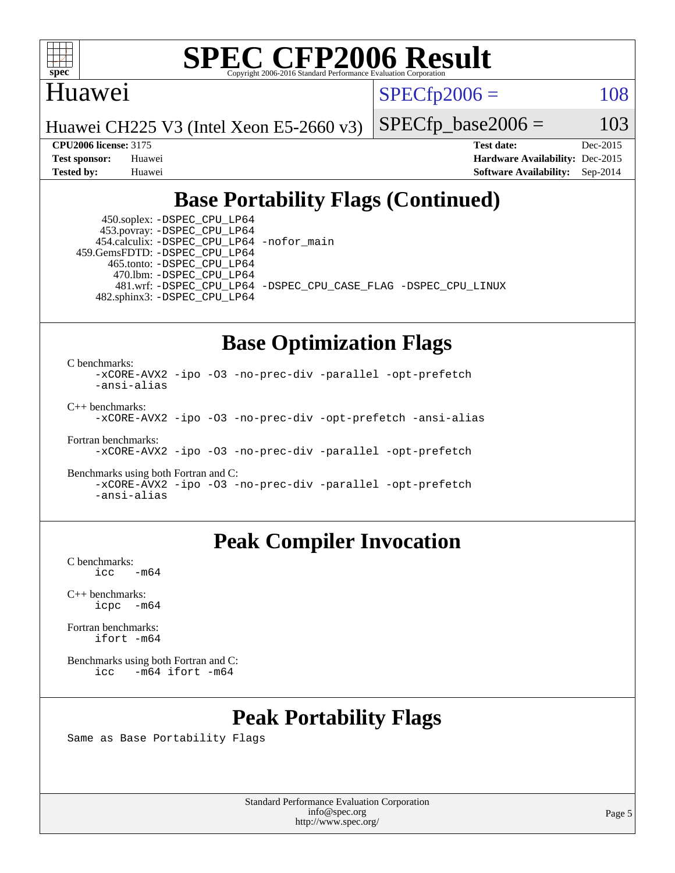

#### Huawei

 $SPECTp2006 = 108$ 

Huawei CH225 V3 (Intel Xeon E5-2660 v3)

 $SPECfp\_base2006 = 103$ 

**[CPU2006 license:](http://www.spec.org/auto/cpu2006/Docs/result-fields.html#CPU2006license)** 3175 **[Test date:](http://www.spec.org/auto/cpu2006/Docs/result-fields.html#Testdate)** Dec-2015 **[Test sponsor:](http://www.spec.org/auto/cpu2006/Docs/result-fields.html#Testsponsor)** Huawei **[Hardware Availability:](http://www.spec.org/auto/cpu2006/Docs/result-fields.html#HardwareAvailability)** Dec-2015 **[Tested by:](http://www.spec.org/auto/cpu2006/Docs/result-fields.html#Testedby)** Huawei **[Software Availability:](http://www.spec.org/auto/cpu2006/Docs/result-fields.html#SoftwareAvailability)** Sep-2014

### **[Base Portability Flags \(Continued\)](http://www.spec.org/auto/cpu2006/Docs/result-fields.html#BasePortabilityFlags)**

 450.soplex: [-DSPEC\\_CPU\\_LP64](http://www.spec.org/cpu2006/results/res2016q1/cpu2006-20160107-38603.flags.html#suite_basePORTABILITY450_soplex_DSPEC_CPU_LP64) 453.povray: [-DSPEC\\_CPU\\_LP64](http://www.spec.org/cpu2006/results/res2016q1/cpu2006-20160107-38603.flags.html#suite_basePORTABILITY453_povray_DSPEC_CPU_LP64) 454.calculix: [-DSPEC\\_CPU\\_LP64](http://www.spec.org/cpu2006/results/res2016q1/cpu2006-20160107-38603.flags.html#suite_basePORTABILITY454_calculix_DSPEC_CPU_LP64) [-nofor\\_main](http://www.spec.org/cpu2006/results/res2016q1/cpu2006-20160107-38603.flags.html#user_baseLDPORTABILITY454_calculix_f-nofor_main) 459.GemsFDTD: [-DSPEC\\_CPU\\_LP64](http://www.spec.org/cpu2006/results/res2016q1/cpu2006-20160107-38603.flags.html#suite_basePORTABILITY459_GemsFDTD_DSPEC_CPU_LP64) 465.tonto: [-DSPEC\\_CPU\\_LP64](http://www.spec.org/cpu2006/results/res2016q1/cpu2006-20160107-38603.flags.html#suite_basePORTABILITY465_tonto_DSPEC_CPU_LP64) 470.lbm: [-DSPEC\\_CPU\\_LP64](http://www.spec.org/cpu2006/results/res2016q1/cpu2006-20160107-38603.flags.html#suite_basePORTABILITY470_lbm_DSPEC_CPU_LP64) 482.sphinx3: [-DSPEC\\_CPU\\_LP64](http://www.spec.org/cpu2006/results/res2016q1/cpu2006-20160107-38603.flags.html#suite_basePORTABILITY482_sphinx3_DSPEC_CPU_LP64)

481.wrf: [-DSPEC\\_CPU\\_LP64](http://www.spec.org/cpu2006/results/res2016q1/cpu2006-20160107-38603.flags.html#suite_basePORTABILITY481_wrf_DSPEC_CPU_LP64) [-DSPEC\\_CPU\\_CASE\\_FLAG](http://www.spec.org/cpu2006/results/res2016q1/cpu2006-20160107-38603.flags.html#b481.wrf_baseCPORTABILITY_DSPEC_CPU_CASE_FLAG) [-DSPEC\\_CPU\\_LINUX](http://www.spec.org/cpu2006/results/res2016q1/cpu2006-20160107-38603.flags.html#b481.wrf_baseCPORTABILITY_DSPEC_CPU_LINUX)

### **[Base Optimization Flags](http://www.spec.org/auto/cpu2006/Docs/result-fields.html#BaseOptimizationFlags)**

[C benchmarks](http://www.spec.org/auto/cpu2006/Docs/result-fields.html#Cbenchmarks):

[-xCORE-AVX2](http://www.spec.org/cpu2006/results/res2016q1/cpu2006-20160107-38603.flags.html#user_CCbase_f-xAVX2_5f5fc0cbe2c9f62c816d3e45806c70d7) [-ipo](http://www.spec.org/cpu2006/results/res2016q1/cpu2006-20160107-38603.flags.html#user_CCbase_f-ipo) [-O3](http://www.spec.org/cpu2006/results/res2016q1/cpu2006-20160107-38603.flags.html#user_CCbase_f-O3) [-no-prec-div](http://www.spec.org/cpu2006/results/res2016q1/cpu2006-20160107-38603.flags.html#user_CCbase_f-no-prec-div) [-parallel](http://www.spec.org/cpu2006/results/res2016q1/cpu2006-20160107-38603.flags.html#user_CCbase_f-parallel) [-opt-prefetch](http://www.spec.org/cpu2006/results/res2016q1/cpu2006-20160107-38603.flags.html#user_CCbase_f-opt-prefetch) [-ansi-alias](http://www.spec.org/cpu2006/results/res2016q1/cpu2006-20160107-38603.flags.html#user_CCbase_f-ansi-alias) [C++ benchmarks:](http://www.spec.org/auto/cpu2006/Docs/result-fields.html#CXXbenchmarks)

[-xCORE-AVX2](http://www.spec.org/cpu2006/results/res2016q1/cpu2006-20160107-38603.flags.html#user_CXXbase_f-xAVX2_5f5fc0cbe2c9f62c816d3e45806c70d7) [-ipo](http://www.spec.org/cpu2006/results/res2016q1/cpu2006-20160107-38603.flags.html#user_CXXbase_f-ipo) [-O3](http://www.spec.org/cpu2006/results/res2016q1/cpu2006-20160107-38603.flags.html#user_CXXbase_f-O3) [-no-prec-div](http://www.spec.org/cpu2006/results/res2016q1/cpu2006-20160107-38603.flags.html#user_CXXbase_f-no-prec-div) [-opt-prefetch](http://www.spec.org/cpu2006/results/res2016q1/cpu2006-20160107-38603.flags.html#user_CXXbase_f-opt-prefetch) [-ansi-alias](http://www.spec.org/cpu2006/results/res2016q1/cpu2006-20160107-38603.flags.html#user_CXXbase_f-ansi-alias)

[Fortran benchmarks](http://www.spec.org/auto/cpu2006/Docs/result-fields.html#Fortranbenchmarks): [-xCORE-AVX2](http://www.spec.org/cpu2006/results/res2016q1/cpu2006-20160107-38603.flags.html#user_FCbase_f-xAVX2_5f5fc0cbe2c9f62c816d3e45806c70d7) [-ipo](http://www.spec.org/cpu2006/results/res2016q1/cpu2006-20160107-38603.flags.html#user_FCbase_f-ipo) [-O3](http://www.spec.org/cpu2006/results/res2016q1/cpu2006-20160107-38603.flags.html#user_FCbase_f-O3) [-no-prec-div](http://www.spec.org/cpu2006/results/res2016q1/cpu2006-20160107-38603.flags.html#user_FCbase_f-no-prec-div) [-parallel](http://www.spec.org/cpu2006/results/res2016q1/cpu2006-20160107-38603.flags.html#user_FCbase_f-parallel) [-opt-prefetch](http://www.spec.org/cpu2006/results/res2016q1/cpu2006-20160107-38603.flags.html#user_FCbase_f-opt-prefetch)

[Benchmarks using both Fortran and C](http://www.spec.org/auto/cpu2006/Docs/result-fields.html#BenchmarksusingbothFortranandC): [-xCORE-AVX2](http://www.spec.org/cpu2006/results/res2016q1/cpu2006-20160107-38603.flags.html#user_CC_FCbase_f-xAVX2_5f5fc0cbe2c9f62c816d3e45806c70d7) [-ipo](http://www.spec.org/cpu2006/results/res2016q1/cpu2006-20160107-38603.flags.html#user_CC_FCbase_f-ipo) [-O3](http://www.spec.org/cpu2006/results/res2016q1/cpu2006-20160107-38603.flags.html#user_CC_FCbase_f-O3) [-no-prec-div](http://www.spec.org/cpu2006/results/res2016q1/cpu2006-20160107-38603.flags.html#user_CC_FCbase_f-no-prec-div) [-parallel](http://www.spec.org/cpu2006/results/res2016q1/cpu2006-20160107-38603.flags.html#user_CC_FCbase_f-parallel) [-opt-prefetch](http://www.spec.org/cpu2006/results/res2016q1/cpu2006-20160107-38603.flags.html#user_CC_FCbase_f-opt-prefetch) [-ansi-alias](http://www.spec.org/cpu2006/results/res2016q1/cpu2006-20160107-38603.flags.html#user_CC_FCbase_f-ansi-alias)

### **[Peak Compiler Invocation](http://www.spec.org/auto/cpu2006/Docs/result-fields.html#PeakCompilerInvocation)**

[C benchmarks](http://www.spec.org/auto/cpu2006/Docs/result-fields.html#Cbenchmarks):  $\text{icc}$   $-\text{m64}$ 

[C++ benchmarks:](http://www.spec.org/auto/cpu2006/Docs/result-fields.html#CXXbenchmarks) [icpc -m64](http://www.spec.org/cpu2006/results/res2016q1/cpu2006-20160107-38603.flags.html#user_CXXpeak_intel_icpc_64bit_bedb90c1146cab66620883ef4f41a67e)

[Fortran benchmarks](http://www.spec.org/auto/cpu2006/Docs/result-fields.html#Fortranbenchmarks): [ifort -m64](http://www.spec.org/cpu2006/results/res2016q1/cpu2006-20160107-38603.flags.html#user_FCpeak_intel_ifort_64bit_ee9d0fb25645d0210d97eb0527dcc06e)

[Benchmarks using both Fortran and C](http://www.spec.org/auto/cpu2006/Docs/result-fields.html#BenchmarksusingbothFortranandC): [icc -m64](http://www.spec.org/cpu2006/results/res2016q1/cpu2006-20160107-38603.flags.html#user_CC_FCpeak_intel_icc_64bit_0b7121f5ab7cfabee23d88897260401c) [ifort -m64](http://www.spec.org/cpu2006/results/res2016q1/cpu2006-20160107-38603.flags.html#user_CC_FCpeak_intel_ifort_64bit_ee9d0fb25645d0210d97eb0527dcc06e)

### **[Peak Portability Flags](http://www.spec.org/auto/cpu2006/Docs/result-fields.html#PeakPortabilityFlags)**

Same as Base Portability Flags

Standard Performance Evaluation Corporation [info@spec.org](mailto:info@spec.org) <http://www.spec.org/>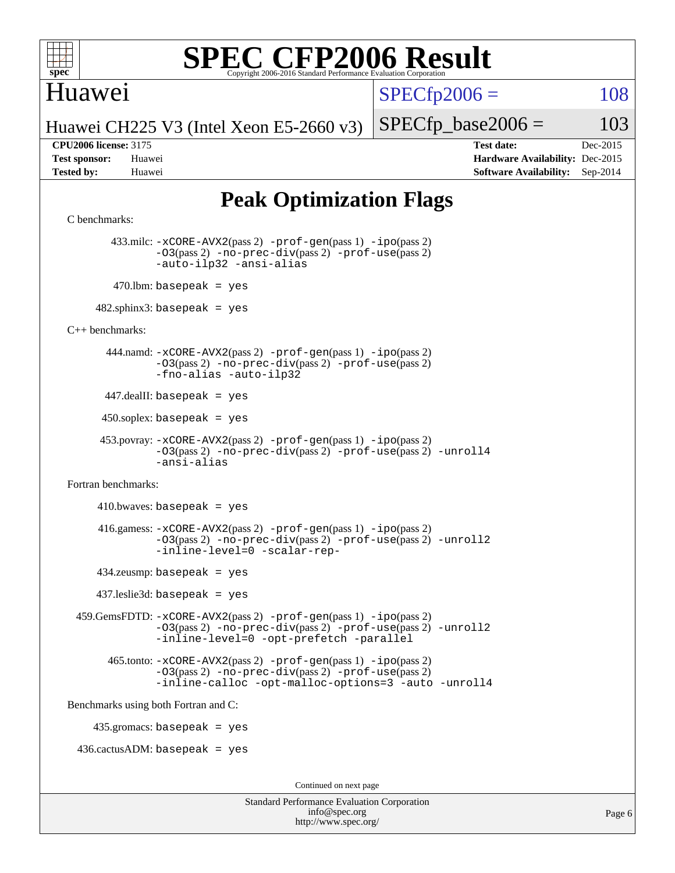

### Huawei

 $SPECTp2006 = 108$ 

Huawei CH225 V3 (Intel Xeon E5-2660 v3)

 $SPECTp\_base2006 = 103$ 

**[CPU2006 license:](http://www.spec.org/auto/cpu2006/Docs/result-fields.html#CPU2006license)** 3175 **[Test date:](http://www.spec.org/auto/cpu2006/Docs/result-fields.html#Testdate)** Dec-2015 **[Test sponsor:](http://www.spec.org/auto/cpu2006/Docs/result-fields.html#Testsponsor)** Huawei **[Hardware Availability:](http://www.spec.org/auto/cpu2006/Docs/result-fields.html#HardwareAvailability)** Dec-2015 **[Tested by:](http://www.spec.org/auto/cpu2006/Docs/result-fields.html#Testedby)** Huawei **[Software Availability:](http://www.spec.org/auto/cpu2006/Docs/result-fields.html#SoftwareAvailability)** Sep-2014

### **[Peak Optimization Flags](http://www.spec.org/auto/cpu2006/Docs/result-fields.html#PeakOptimizationFlags)**

```
Standard Performance Evaluation Corporation
C benchmarks: 
         433.milc: -xCORE-AVX2(pass 2) -prof-gen(pass 1) -ipo(pass 2)
                -O3(pass 2) -no-prec-div(pass 2) -prof-use(pass 2)
                -auto-ilp32 -ansi-alias
        470.lbm: basepeak = yes
     482.sphinx3: basepeak = yes
C++ benchmarks: 
        444.namd: -xCORE-AVX2(pass 2) -prof-gen(pass 1) -ipo(pass 2)
                -O3(pass 2) -no-prec-div(pass 2) -prof-use(pass 2)
                -fno-alias -auto-ilp32
      447.dealII: basepeak = yes
      450.soplex: basepeak = yes
       453.povray: -xCORE-AVX2(pass 2) -prof-gen(pass 1) -ipo(pass 2)
                -O3(pass 2) -no-prec-div(pass 2) -prof-use(pass 2) -unroll4
                -ansi-alias
Fortran benchmarks: 
     410.bwaves: basepeak = yes 416.gamess: -xCORE-AVX2(pass 2) -prof-gen(pass 1) -ipo(pass 2)
                -O3(pass 2) -no-prec-div(pass 2) -prof-use(pass 2) -unroll2
                -inline-level=0 -scalar-rep-
      434.zeusmp: basepeak = yes
      437.leslie3d: basepeak = yes
  459.GemsFDTD: -xCORE-AVX2(pass 2) -prof-gen(pass 1) -ipo(pass 2)
                -O3(pass 2) -no-prec-div(pass 2) -prof-use(pass 2) -unroll2
                -inline-level=0 -opt-prefetch -parallel
        465.tonto: -xCORE-AVX2(pass 2) -prof-gen(pass 1) -ipo(pass 2)
                -O3(pass 2) -no-prec-div(pass 2) -prof-use(pass 2)
                -inline-calloc -opt-malloc-options=3 -auto -unroll4
Benchmarks using both Fortran and C: 
     435.gromacs: basepeak = yes
 436.cactusADM:basepeak = yesContinued on next page
```
[info@spec.org](mailto:info@spec.org) <http://www.spec.org/>